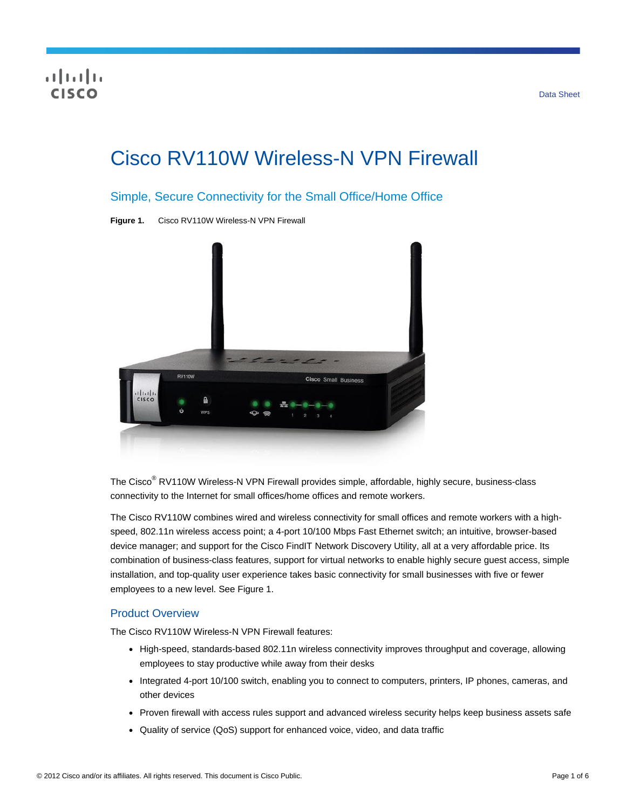# Cisco RV110W Wireless-N VPN Firewall

## Simple, Secure Connectivity for the Small Office/Home Office

**Figure 1.** Cisco RV110W Wireless-N VPN Firewall



The Cisco® RV110W Wireless-N VPN Firewall provides simple, affordable, highly secure, business-class connectivity to the Internet for small offices/home offices and remote workers.

The Cisco RV110W combines wired and wireless connectivity for small offices and remote workers with a highspeed, 802.11n wireless access point; a 4-port 10/100 Mbps Fast Ethernet switch; an intuitive, browser-based device manager; and support for the Cisco FindIT Network Discovery Utility, all at a very affordable price. Its combination of business-class features, support for virtual networks to enable highly secure guest access, simple installation, and top-quality user experience takes basic connectivity for small businesses with five or fewer employees to a new level. See Figure 1.

### Product Overview

The Cisco RV110W Wireless-N VPN Firewall features:

- High-speed, standards-based 802.11n wireless connectivity improves throughput and coverage, allowing employees to stay productive while away from their desks
- Integrated 4-port 10/100 switch, enabling you to connect to computers, printers, IP phones, cameras, and other devices
- Proven firewall with access rules support and advanced wireless security helps keep business assets safe
- Quality of service (QoS) support for enhanced voice, video, and data traffic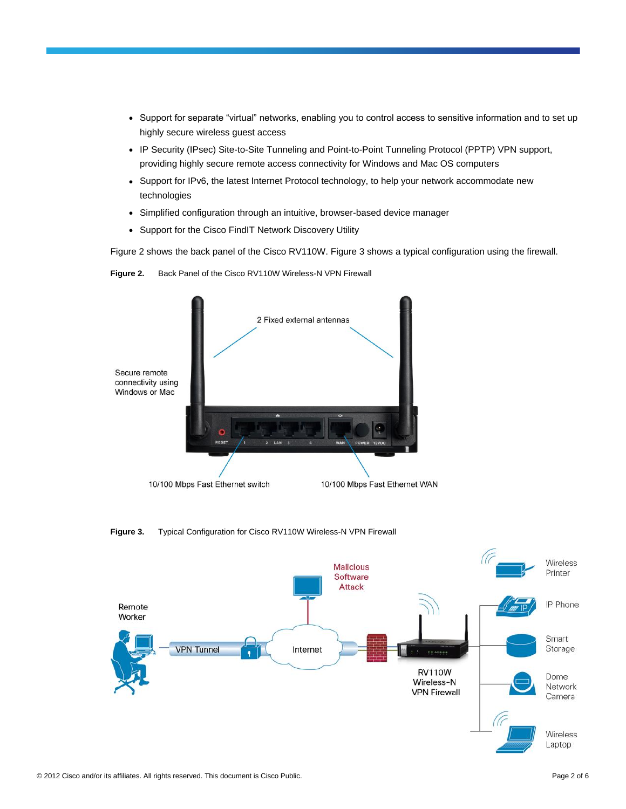- Support for separate "virtual" networks, enabling you to control access to sensitive information and to set up highly secure wireless guest access
- IP Security (IPsec) Site-to-Site Tunneling and Point-to-Point Tunneling Protocol (PPTP) VPN support, providing highly secure remote access connectivity for Windows and Mac OS computers
- Support for IPv6, the latest Internet Protocol technology, to help your network accommodate new technologies
- Simplified configuration through an intuitive, browser-based device manager
- Support for the Cisco FindIT Network Discovery Utility

Figure 2 shows the back panel of the Cisco RV110W. Figure 3 shows a typical configuration using the firewall.

**Figure 2.** Back Panel of the Cisco RV110W Wireless-N VPN Firewall



**Figure 3.** Typical Configuration for Cisco RV110W Wireless-N VPN Firewall

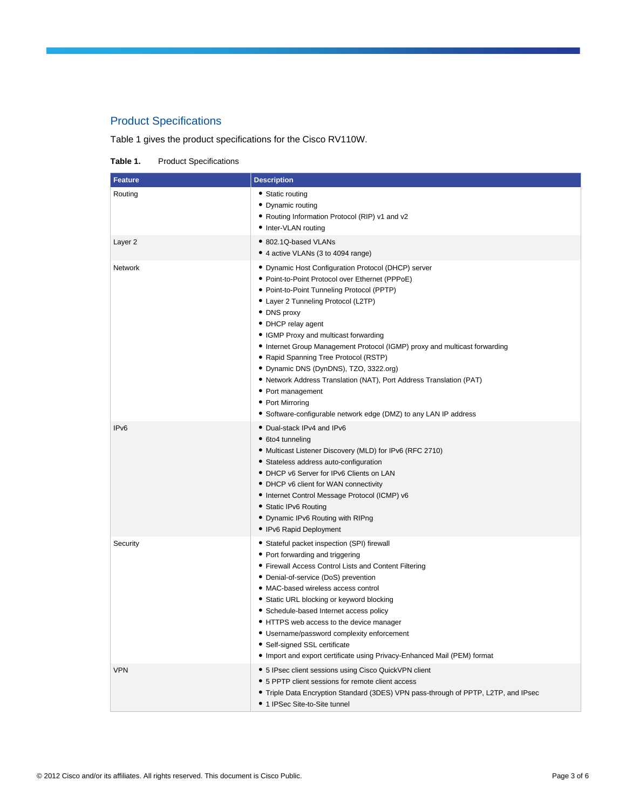## Product Specifications

Table 1 gives the product specifications for the Cisco RV110W.

**Table 1.** Product Specifications

| <b>Feature</b>     | <b>Description</b>                                                                                                                                                                                                                                                                                                                                                                                                                                                                                                                                                                                                             |
|--------------------|--------------------------------------------------------------------------------------------------------------------------------------------------------------------------------------------------------------------------------------------------------------------------------------------------------------------------------------------------------------------------------------------------------------------------------------------------------------------------------------------------------------------------------------------------------------------------------------------------------------------------------|
| Routing            | • Static routing<br>• Dynamic routing<br>• Routing Information Protocol (RIP) v1 and v2<br>• Inter-VLAN routing                                                                                                                                                                                                                                                                                                                                                                                                                                                                                                                |
| Layer <sub>2</sub> | • 802.1Q-based VLANs<br>• 4 active VLANs (3 to 4094 range)                                                                                                                                                                                                                                                                                                                                                                                                                                                                                                                                                                     |
| Network            | • Dynamic Host Configuration Protocol (DHCP) server<br>• Point-to-Point Protocol over Ethernet (PPPoE)<br>• Point-to-Point Tunneling Protocol (PPTP)<br>• Layer 2 Tunneling Protocol (L2TP)<br>· DNS proxy<br>• DHCP relay agent<br>• IGMP Proxy and multicast forwarding<br>• Internet Group Management Protocol (IGMP) proxy and multicast forwarding<br>• Rapid Spanning Tree Protocol (RSTP)<br>• Dynamic DNS (DynDNS), TZO, 3322.org)<br>• Network Address Translation (NAT), Port Address Translation (PAT)<br>• Port management<br>• Port Mirroring<br>• Software-configurable network edge (DMZ) to any LAN IP address |
| IP <sub>v6</sub>   | • Dual-stack IPv4 and IPv6<br>• 6to4 tunneling<br>• Multicast Listener Discovery (MLD) for IPv6 (RFC 2710)<br>• Stateless address auto-configuration<br>• DHCP v6 Server for IPv6 Clients on LAN<br>• DHCP v6 client for WAN connectivity<br>• Internet Control Message Protocol (ICMP) v6<br>• Static IPv6 Routing<br>• Dynamic IPv6 Routing with RIPng<br>• IPv6 Rapid Deployment                                                                                                                                                                                                                                            |
| Security           | • Stateful packet inspection (SPI) firewall<br>• Port forwarding and triggering<br>• Firewall Access Control Lists and Content Filtering<br>• Denial-of-service (DoS) prevention<br>• MAC-based wireless access control<br>• Static URL blocking or keyword blocking<br>• Schedule-based Internet access policy<br>• HTTPS web access to the device manager<br>• Username/password complexity enforcement<br>• Self-signed SSL certificate<br>• Import and export certificate using Privacy-Enhanced Mail (PEM) format                                                                                                         |
| <b>VPN</b>         | • 5 IPsec client sessions using Cisco QuickVPN client<br>• 5 PPTP client sessions for remote client access<br>• Triple Data Encryption Standard (3DES) VPN pass-through of PPTP, L2TP, and IPsec<br>• 1 IPSec Site-to-Site tunnel                                                                                                                                                                                                                                                                                                                                                                                              |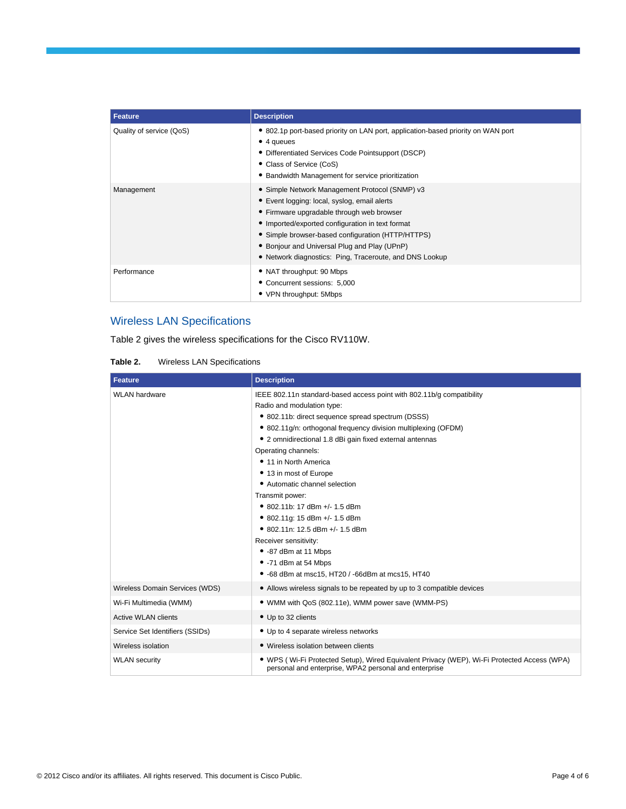| Feature                  | <b>Description</b>                                                                                                                                                                                                                                                                                                                                              |
|--------------------------|-----------------------------------------------------------------------------------------------------------------------------------------------------------------------------------------------------------------------------------------------------------------------------------------------------------------------------------------------------------------|
| Quality of service (QoS) | • 802.1p port-based priority on LAN port, application-based priority on WAN port<br>$\bullet$ 4 queues<br>• Differentiated Services Code Pointsupport (DSCP)<br>• Class of Service (CoS)<br>• Bandwidth Management for service prioritization                                                                                                                   |
| Management               | • Simple Network Management Protocol (SNMP) v3<br>• Event logging: local, syslog, email alerts<br>• Firmware upgradable through web browser<br>• Imported/exported configuration in text format<br>• Simple browser-based configuration (HTTP/HTTPS)<br>• Bonjour and Universal Plug and Play (UPnP)<br>• Network diagnostics: Ping, Traceroute, and DNS Lookup |
| Performance              | • NAT throughput: 90 Mbps<br>• Concurrent sessions: 5,000<br>• VPN throughput: 5Mbps                                                                                                                                                                                                                                                                            |

## Wireless LAN Specifications

Table 2 gives the wireless specifications for the Cisco RV110W.

| <b>Wireless LAN Specifications</b><br>Table 2. |
|------------------------------------------------|
|------------------------------------------------|

| <b>Feature</b>                  | <b>Description</b>                                                                                                                                   |
|---------------------------------|------------------------------------------------------------------------------------------------------------------------------------------------------|
| <b>WLAN</b> hardware            | IEEE 802.11n standard-based access point with 802.11b/g compatibility                                                                                |
|                                 | Radio and modulation type:                                                                                                                           |
|                                 | • 802.11b: direct sequence spread spectrum (DSSS)                                                                                                    |
|                                 | • 802.11g/n: orthogonal frequency division multiplexing (OFDM)                                                                                       |
|                                 | • 2 omnidirectional 1.8 dBi gain fixed external antennas                                                                                             |
|                                 | Operating channels:                                                                                                                                  |
|                                 | • 11 in North America                                                                                                                                |
|                                 | • 13 in most of Europe                                                                                                                               |
|                                 | • Automatic channel selection                                                                                                                        |
|                                 | Transmit power:                                                                                                                                      |
|                                 | • 802.11b: 17 dBm +/- 1.5 dBm                                                                                                                        |
|                                 | • 802.11g: 15 dBm +/- 1.5 dBm                                                                                                                        |
|                                 | • 802.11n: 12.5 dBm +/- 1.5 dBm                                                                                                                      |
|                                 | Receiver sensitivity:                                                                                                                                |
|                                 | • -87 dBm at 11 Mbps                                                                                                                                 |
|                                 | • -71 dBm at 54 Mbps                                                                                                                                 |
|                                 | • -68 dBm at msc15, HT20 / -66dBm at mcs15, HT40                                                                                                     |
| Wireless Domain Services (WDS)  | • Allows wireless signals to be repeated by up to 3 compatible devices                                                                               |
| Wi-Fi Multimedia (WMM)          | • WMM with QoS (802.11e), WMM power save (WMM-PS)                                                                                                    |
| <b>Active WLAN clients</b>      | • Up to 32 clients                                                                                                                                   |
| Service Set Identifiers (SSIDs) | • Up to 4 separate wireless networks                                                                                                                 |
| Wireless isolation              | • Wireless isolation between clients                                                                                                                 |
| <b>WLAN</b> security            | • WPS (Wi-Fi Protected Setup), Wired Equivalent Privacy (WEP), Wi-Fi Protected Access (WPA)<br>personal and enterprise, WPA2 personal and enterprise |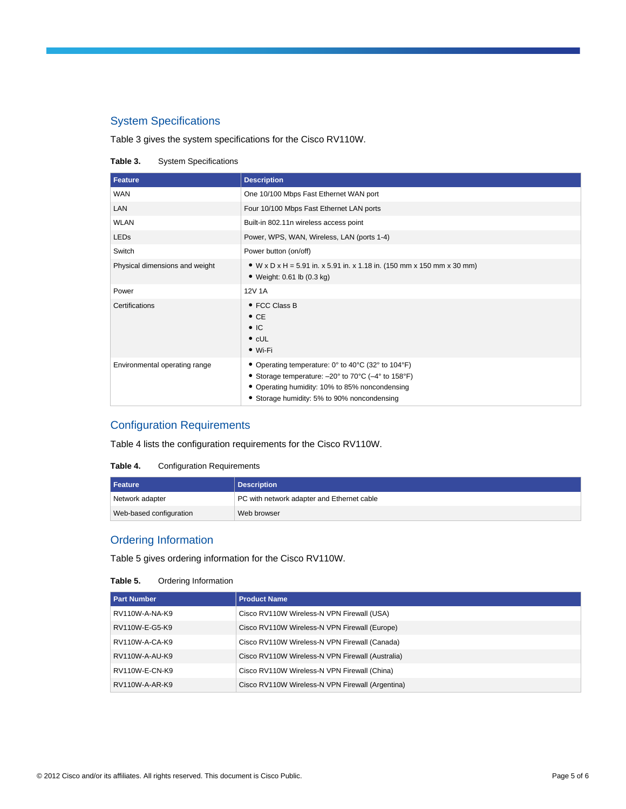## System Specifications

Table 3 gives the system specifications for the Cisco RV110W.

#### **Table 3.** System Specifications

| Feature                        | <b>Description</b>                                                                                                                                                                                        |
|--------------------------------|-----------------------------------------------------------------------------------------------------------------------------------------------------------------------------------------------------------|
| <b>WAN</b>                     | One 10/100 Mbps Fast Ethernet WAN port                                                                                                                                                                    |
| LAN                            | Four 10/100 Mbps Fast Ethernet LAN ports                                                                                                                                                                  |
| <b>WLAN</b>                    | Built-in 802.11n wireless access point                                                                                                                                                                    |
| LEDs                           | Power, WPS, WAN, Wireless, LAN (ports 1-4)                                                                                                                                                                |
| Switch                         | Power button (on/off)                                                                                                                                                                                     |
| Physical dimensions and weight | • W x D x H = 5.91 in. x 5.91 in. x 1.18 in. (150 mm x 150 mm x 30 mm)<br>• Weight: 0.61 lb (0.3 kg)                                                                                                      |
| Power                          | 12V 1A                                                                                                                                                                                                    |
| Certifications                 | • FCC Class B<br>$\bullet$ CE<br>$\bullet$ IC<br>$\bullet$ cUL<br>$\bullet$ Wi-Fi                                                                                                                         |
| Environmental operating range  | • Operating temperature: 0° to 40°C (32° to 104°F)<br>• Storage temperature: -20° to 70°C (-4° to 158°F)<br>• Operating humidity: 10% to 85% noncondensing<br>• Storage humidity: 5% to 90% noncondensing |

## Configuration Requirements

Table 4 lists the configuration requirements for the Cisco RV110W.

#### **Table 4.** Configuration Requirements

| l Feature               | Description                                |
|-------------------------|--------------------------------------------|
| Network adapter         | PC with network adapter and Ethernet cable |
| Web-based configuration | Web browser                                |

## Ordering Information

Table 5 gives ordering information for the Cisco RV110W.

#### **Table 5.** Ordering Information

| <b>Part Number</b> | <b>Product Name</b>                              |
|--------------------|--------------------------------------------------|
| RV110W-A-NA-K9     | Cisco RV110W Wireless-N VPN Firewall (USA)       |
| RV110W-E-G5-K9     | Cisco RV110W Wireless-N VPN Firewall (Europe)    |
| RV110W-A-CA-K9     | Cisco RV110W Wireless-N VPN Firewall (Canada)    |
| RV110W-A-AU-K9     | Cisco RV110W Wireless-N VPN Firewall (Australia) |
| RV110W-E-CN-K9     | Cisco RV110W Wireless-N VPN Firewall (China)     |
| RV110W-A-AR-K9     | Cisco RV110W Wireless-N VPN Firewall (Argentina) |